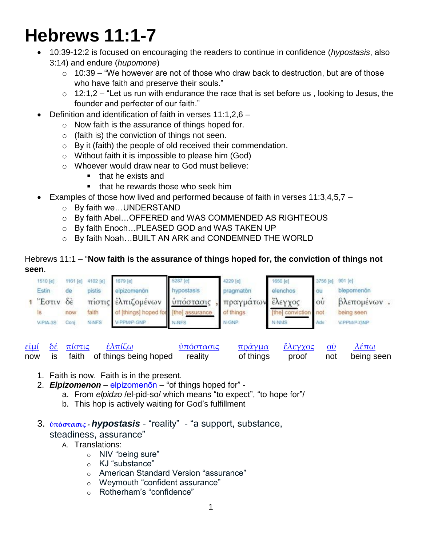# **Hebrews 11:1-7**

- 10:39-12:2 is focused on encouraging the readers to continue in confidence (*hypostasis*, also 3:14) and endure (*hupomone*)
	- $\circ$  10:39 "We however are not of those who draw back to destruction, but are of those who have faith and preserve their souls."
	- $\circ$  12:1,2 "Let us run with endurance the race that is set before us, looking to Jesus, the founder and perfecter of our faith."
- Definition and identification of faith in verses 11:1,2,6
	- o Now faith is the assurance of things hoped for.
	- $\circ$  (faith is) the conviction of things not seen.
	- o By it (faith) the people of old received their commendation.
	- o Without faith it is impossible to please him (God)
	- o Whoever would draw near to God must believe:
		- **that he exists and**
		- **that he rewards those who seek him**
- Examples of those how lived and performed because of faith in verses 11:3,4,5,7
	- o By faith we…UNDERSTAND
	- o By faith Abel…OFFERED and WAS COMMENDED AS RIGHTEOUS
	- o By faith Enoch…PLEASED GOD and WAS TAKEN UP
	- o By faith Noah…BUILT AN ARK and CONDEMNED THE WORLD

### Hebrews 11:1 – "**Now faith is the assurance of things hoped for, the conviction of things not seen**.



|  | <u>εἰμί δέ πίστις ἐλπίζω</u>               | ύπόστασις | <u>ποᾶγμα ἔλεγχος οὐ λέπω</u> |  |                                |
|--|--------------------------------------------|-----------|-------------------------------|--|--------------------------------|
|  | now is faith of things being hoped reality |           |                               |  | of things proof not being seen |

- 1. Faith is now. Faith is in the present.
- 2. *Elpizomenon* [elpizomenōn](https://biblehub.com/greek/elpizomeno_n_1679.htm) "of things hoped for"
	- a. From *elpidzo* /el-pid-so/ which means "to expect", "to hope for"/
	- b. This hop is actively waiting for God's fulfillment
- 3. **[ὑπόστασις](http://strongsnumbers.com/greek/5287.htm) -** *hypostasis* "reality" "a support, substance, steadiness, assurance"
	- A. Translations:
		- o NIV "being sure"
		- o KJ "substance"
		- o American Standard Version "assurance"
		- o Weymouth "confident assurance"
		- o Rotherham's "confidence"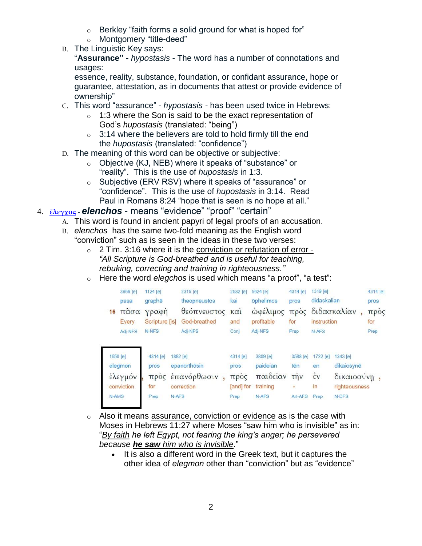- $\circ$  Berkley "faith forms a solid ground for what is hoped for"
- o Montgomery "title-deed"
- B. The Linguistic Key says:

"**Assurance" -** *hypostasis* - The word has a number of connotations and usages:

essence, reality, substance, foundation, or confidant assurance, hope or guarantee, attestation, as in documents that attest or provide evidence of ownership"

- C. This word "assurance" *hypostasis -* has been used twice in Hebrews:
	- $\circ$  1:3 where the Son is said to be the exact representation of God's *hupostasis* (translated: "being")
	- $\circ$  3:14 where the believers are told to hold firmly till the end the *hupostasis* (translated: "confidence")
- D. The meaning of this word can be objective or subjective:
	- o Objective (KJ, NEB) where it speaks of "substance" or "reality". This is the use of *hupostasis* in 1:3.
	- o Subjective (ERV RSV) where it speaks of "assurance" or "confidence". This is the use of *hupostasis* in 3:14. Read Paul in Romans 8:24 "hope that is seen is no hope at all."
- 4. **[ἔλεγχος](http://strongsnumbers.com/greek/1650.htm) -** *elenchos* means "evidence" "proof" "certain"
	- A. This word is found in ancient papyri of legal proofs of an accusation.
	- B. *elenchos* has the same two-fold meaning as the English word "conviction" such as is seen in the ideas in these two verses:
		- $\circ$  2 Tim. 3:16 where it is the conviction or refutation of error -*"All Scripture is God-breathed and is useful for teaching, rebuking, correcting and training in righteousness."*
		- o Here the word *elegchos* is used which means "a proof", "a test":

| 16    | 3956 [e]<br>pasa<br>πάσα<br>Every            | 1124 [e]<br>graphe<br>γραφή<br>Scripture [is] | 2315 [e]<br>theopneustos<br>θεόπνευστος και<br>God-breathed    | 2532 [e]<br>kai<br>and                        | 5624 [e]<br><b>öphelimos</b><br>ώφέλιμος<br>profitable | 4314 [e]<br>pros<br>προς<br>for                         | 1319 [e]<br>didaskalian<br>instruction             | διδασκαλίαν                                                     | 4314 [e]<br>pros<br>πρός<br>for |
|-------|----------------------------------------------|-----------------------------------------------|----------------------------------------------------------------|-----------------------------------------------|--------------------------------------------------------|---------------------------------------------------------|----------------------------------------------------|-----------------------------------------------------------------|---------------------------------|
|       | Adj-NFS                                      | N-NFS                                         | Adj-NFS                                                        | Conj                                          | Adj-NFS                                                | Prep                                                    | N-AFS                                              |                                                                 | Prep                            |
| N-AMS | 1650 [e]<br>elegmon<br>έλεγμόν<br>conviction | 4314 [e]<br>pros<br>трос<br>for<br>Prep       | 1882 [e]<br>epanorthosin<br>έπανόρθωσιν<br>correction<br>N-AFS | 4314 [e]<br>pros<br>προς<br>[and] for<br>Prep | 3809 [e]<br>paideian<br>παιδείαν<br>training<br>N-AFS  | 3588 [e]<br>tēn<br>$\overrightarrow{r}$<br>÷<br>Art-AFS | 1722 [e]<br>en<br>$\dot{\epsilon}$ v<br>in<br>Prep | 1343 [e]<br>dikaiosynē<br>δικαιοσύνη,<br>righteousness<br>N-DFS |                                 |

- o Also it means assurance, conviction or evidence as is the case with Moses in Hebrews 11:27 where Moses "saw him who is invisible" as in: "*By faith he left Egypt, not fearing the king's anger; he persevered because he saw him who is invisible*."
	- It is also a different word in the Greek text, but it captures the other idea of *elegmon* other than "conviction" but as "evidence"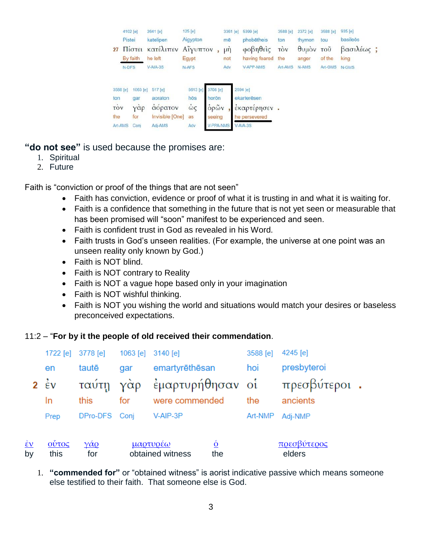| 27                                       | 4102 [e]<br>Pistei<br>By faith<br>N-DFS | 2641 [e]<br>katelipen<br>Πίστει κατέλιπεν Αίγυπτον<br>he left<br>$V-AIA-3S$ | 125 [e]<br>Aigypton<br>Egypt<br>N-AFS |                                                         | 3361 [e]<br>mē<br>$\mu \dot{\eta}$<br>not<br>Adv | 5399 [e]<br>phobētheis<br>φοβηθείς<br>having feared<br><b>V-APP-NMS</b> | 3588 [e]<br>ton<br>τòν<br>the<br>Art-AMS | 2372 [e]<br>thymon<br>θυμον<br>anger<br>N-AMS | 3588 [e]<br>tou<br>τοῦ<br>of the<br>Art-GMS | 935 [e]<br>basileõs<br>βασιλέως;<br>king<br>N-GMS |  |
|------------------------------------------|-----------------------------------------|-----------------------------------------------------------------------------|---------------------------------------|---------------------------------------------------------|--------------------------------------------------|-------------------------------------------------------------------------|------------------------------------------|-----------------------------------------------|---------------------------------------------|---------------------------------------------------|--|
| 3588 [e]<br>ton<br>τòν<br>the<br>Art-AMS | 1063 [e]<br>gar<br>Υάρ<br>for<br>Conj   | 517 [e]<br>aoraton<br>άόρατον<br>Invisible [One]<br>Adj-AMS                 | 5613 [e]<br>hōs<br>ώς<br>as<br>Adv    | 3708 [e]<br>horōn<br>όρῶν<br>seeing<br><b>V-PPA-NMS</b> |                                                  | 2594 [e]<br>ekarterësen<br>έκαρτέρησεν.<br>he persevered<br>$V-AIA-3S$  |                                          |                                               |                                             |                                                   |  |

**"do not see"** is used because the promises are:

- 1. Spiritual
- 2. Future

Faith is "conviction or proof of the things that are not seen"

- Faith has conviction, evidence or proof of what it is trusting in and what it is waiting for.
- Faith is a confidence that something in the future that is not yet seen or measurable that has been promised will "soon" manifest to be experienced and seen.
- Faith is confident trust in God as revealed in his Word.
- Faith trusts in God's unseen realities. (For example, the universe at one point was an unseen reality only known by God.)
- Faith is NOT blind.
- Faith is NOT contrary to Reality
- Faith is NOT a vague hope based only in your imagination
- Faith is NOT wishful thinking.
- Faith is NOT you wishing the world and situations would match your desires or baseless preconceived expectations.

#### 11:2 – "**For by it the people of old received their commendation**.

|                                                          |                                                                            | 1722 [e] 3778 [e]                | 1063 [e] 3140 [e] |                                                                       | 3588 [e] | $4245$ [e]            |
|----------------------------------------------------------|----------------------------------------------------------------------------|----------------------------------|-------------------|-----------------------------------------------------------------------|----------|-----------------------|
|                                                          | en                                                                         | tautē<br>gar                     |                   | emartyrēthēsan                                                        | hoi      | presbyteroi           |
|                                                          | $2 \epsilon v$                                                             |                                  |                   | ταύτη γὰρ ἐμαρτυρήθησαν οἱ                                            |          | πρεσβύτεροι.          |
|                                                          | In                                                                         | this                             | for               | were commended                                                        | the      | ancients              |
|                                                          | Prep                                                                       | DPro-DFS Conj                    |                   | V-AIP-3P                                                              | Art-NMP  | Adj-NMP               |
| $\underline{\mathbf{\dot{\varepsilon}}\mathbf{v}}$<br>by | $\frac{\tilde{\mathbf{C}} \tilde{\mathbf{C}}}{\tilde{\mathbf{C}}}$<br>this | $\frac{\gamma}{\alpha Q}$<br>for |                   | <u>μαρτυρέω</u><br>$\overline{\mathbf{0}}$<br>obtained witness<br>the |          | πρεσβύτερος<br>elders |

1. **"commended for"** or "obtained witness" is aorist indicative passive which means someone else testified to their faith. That someone else is God.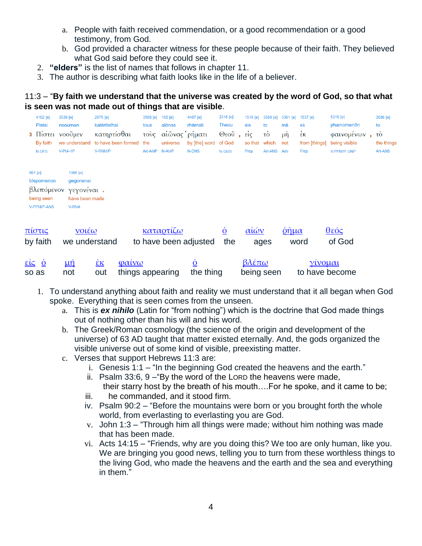- a. People with faith received commendation, or a good recommendation or a good testimony, from God.
- b. God provided a character witness for these people because of their faith. They believed what God said before they could see it.
- 2. **"elders"** is the list of names that follows in chapter 11.
- 3. The author is describing what faith looks like in the life of a believer.

## 11:3 – "**By faith we understand that the universe was created by the word of God, so that what is seen was not made out of things that are visible**.

|                                                              | 4102 [e]<br><b>Pistei</b><br>By faith<br>N-DFS        | 3539 [e]<br>nooumen<br>3 Πίστει νοούμεν<br>we understand<br>V-PIA-1P  | 2675 [e]<br>katērtisthai<br>κατηρτίσθαι<br>to have been formed<br>V-RNM/P                | 3588 [e]<br>tous<br>τοὺς<br>the | 165 [e]<br>aiōnas<br>αίῶνας ρήματι<br>universe<br>Art-AMP N-AMP | 4487 [e]<br>rhēmati<br>by [the] word<br><b>N-DNS</b> | 2316 [e]<br>Theou<br>Θεοῦ<br>of God<br>N-GMS | 1519 [e]<br>eis<br>$\epsilon$ $\epsilon$ $\epsilon$<br>so that<br>Prep | 3588 [e]<br>to<br>τò<br>which<br>Art-ANS Adv | 3361 [e]<br>mē<br>$\mu$ <sup>n</sup><br>not  | 1537 [e]<br>ek<br>$\dot{\epsilon}$ ĸ<br>from [things]<br>Prep | 5316 [e]<br>phainomenon<br>φαινομένων<br>being visible<br>V-PPM/P-GNP | to | 3588 [e]<br>τò<br>the things<br>Art-ANS |
|--------------------------------------------------------------|-------------------------------------------------------|-----------------------------------------------------------------------|------------------------------------------------------------------------------------------|---------------------------------|-----------------------------------------------------------------|------------------------------------------------------|----------------------------------------------|------------------------------------------------------------------------|----------------------------------------------|----------------------------------------------|---------------------------------------------------------------|-----------------------------------------------------------------------|----|-----------------------------------------|
| 991 [e]                                                      | blepomenon<br>βλεπόμενον<br>being seen<br>V-PPM/P-ANS | 1096 [e]<br>gegonenai<br>γεγονέναι.<br>have been made<br><b>V-RNA</b> |                                                                                          |                                 |                                                                 |                                                      |                                              |                                                                        |                                              |                                              |                                                               |                                                                       |    |                                         |
|                                                              | <u>πίστις</u><br>by faith                             | $ν$ οιέω<br>we understand                                             |                                                                                          |                                 | καταρτίζω                                                       | to have been adjusted                                | $\dot{\Omega}$<br>the                        | αἰών                                                                   | ages                                         | $\frac{\hat{\rho} \tilde{\eta}}{\mu \alpha}$ | word                                                          | <u>θεός</u><br>of God                                                 |    |                                         |
| $\frac{\epsilon \dot{\epsilon}}{\epsilon}$ <u>o</u><br>so as |                                                       | <u>иή</u><br>not                                                      | $\alpha$ <i>iv<math>\omega</math></i><br>$\frac{\dot{\epsilon} \kappa}{\epsilon}$<br>out | things appearing                |                                                                 | <u>Ò</u><br>the thing                                |                                              | <u>βλέπω</u><br>being seen                                             |                                              |                                              | <u>γίνομαι</u><br>to have become                              |                                                                       |    |                                         |

- 1. To understand anything about faith and reality we must understand that it all began when God spoke. Everything that is seen comes from the unseen.
	- a. This is *ex nihilo* (Latin for "from nothing") which is the doctrine that God made things out of nothing other than his will and his word.
	- b. The Greek/Roman cosmology (the science of the origin and development of the universe) of 63 AD taught that matter existed eternally. And, the gods organized the visible universe out of some kind of visible, preexisting matter.
	- c. Verses that support Hebrews 11:3 are:
		- i. Genesis 1:1 "In the beginning God created the heavens and the earth."
		- ii. Psalm 33:6, 9 –"By the word of the LORD the heavens were made,
		- their starry host by the breath of his mouth….For he spoke, and it came to be; iii. he commanded, and it stood firm.
		- iv. Psalm 90:2 "Before the mountains were born or you brought forth the whole world, from everlasting to everlasting you are God.
		- v. John 1:3 "Through him all things were made; without him nothing was made that has been made.
		- vi. Acts 14:15 "Friends, why are you doing this? We too are only human, like you. We are bringing you good news, telling you to turn from these worthless things to the living God, who made the heavens and the earth and the sea and everything in them."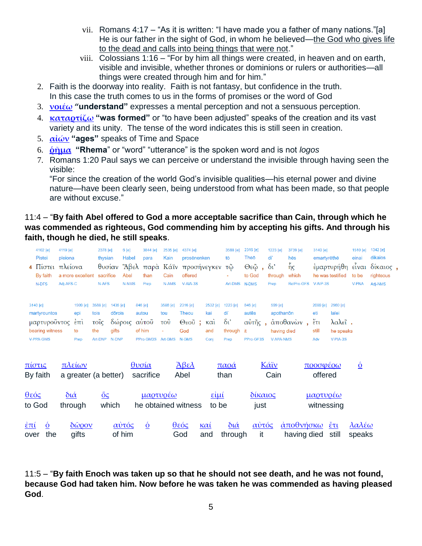- vii. Romans 4:17 "As it is written: "I have made you a father of many nations."[a] He is our father in the sight of God, in whom he believed—the God who gives life to the dead and calls into being things that were not."
- viii. Colossians 1:16 "For by him all things were created, in heaven and on earth, visible and invisible, whether thrones or dominions or rulers or authorities—all things were created through him and for him."
- 2. Faith is the doorway into reality. Faith is not fantasy, but confidence in the truth. In this case the truth comes to us in the forms of promises or the word of God
- 3. **[νοιέω](http://strongsnumbers.com/greek/3539.htm) "understand"** expresses a mental perception and not a sensuous perception.
- 4. **[καταρτίζω](http://strongsnumbers.com/greek/2675.htm) "was formed"** or "to have been adjusted" speaks of the creation and its vast variety and its unity. The tense of the word indicates this is still seen in creation.
- 5. **[αἰών](http://strongsnumbers.com/greek/165.htm) "ages"** speaks of Time and Space
- 6. **[ῥῆμα](http://strongsnumbers.com/greek/4487.htm) "Rhema**" or "word" "utterance" is the spoken word and is not *logos*
- 7. Romans 1:20 Paul says we can perceive or understand the invisible through having seen the visible:

"For since the creation of the world God's invisible qualities—his eternal power and divine nature—have been clearly seen, being understood from what has been made, so that people are without excuse."

#### 11:4 – "**By faith Abel offered to God a more acceptable sacrifice than Cain, through which he was commended as righteous, God commending him by accepting his gifts. And through his faith, though he died, he still speaks**.

| 4102 [e]<br><b>Pistei</b><br>$4 \text{ N}$ <sub>10</sub><br>By faith<br>N-DFS | 4119 [e]<br>pleiona<br>πλείονα<br>Adj-AFS-C | a more excellent                                         | 2378 [e]<br>thysian<br>θυσίαν<br>sacrifice<br>N-AFS |                                                      | 6[e]<br>Habel<br>Abel<br><b>N-NMS</b> | 3844 [e]<br>para<br>than<br>Prep        | 2535 [e]<br>Kain<br>Cain<br>N-AMS                            | 4374 [e]<br>prosēnenken<br>Άβελ παρὰ Κάϊν προσήνεγκεν τῷ<br>offered<br>$V-AIA-3S$ |                                       | 3588 [e]<br>tō<br>Art-DMS                                  | 2316 [e]<br>Theō<br>$Θ$ εῷ,<br>to God<br><b>N-DMS</b> | 1223 [e]<br>di'<br>$\delta v$<br>through<br>Prep        | 3739 [e]<br>hēs<br>$\tilde{\mathfrak{h}}_{\mathsf{S}}$<br>which<br>RelPro-GFS | 3140 [e]<br>emartyrēthē<br>V-AIP-3S                      | έμαρτυρήθη είναι<br>he was testified                  | 1510 [e]<br>einai<br>to be<br><b>V-PNA</b> | 1342 [e]<br>dikaios<br>δίκαιος,<br>righteous<br>Adi-NMS |
|-------------------------------------------------------------------------------|---------------------------------------------|----------------------------------------------------------|-----------------------------------------------------|------------------------------------------------------|---------------------------------------|-----------------------------------------|--------------------------------------------------------------|-----------------------------------------------------------------------------------|---------------------------------------|------------------------------------------------------------|-------------------------------------------------------|---------------------------------------------------------|-------------------------------------------------------------------------------|----------------------------------------------------------|-------------------------------------------------------|--------------------------------------------|---------------------------------------------------------|
| 3140 [e]<br>martyrountos<br>μαρτυροῦντος<br>bearing witness<br>V-PPA-GMS      |                                             | 1909 [e]<br>epi<br>$\epsilon$ <sup>n</sup><br>to<br>Prep | 3588 [e]<br>tois<br>τοῖς<br>the<br>Art-DNP          | 1435 [e]<br>dōrois<br>δώροις αυτοῦ<br>gifts<br>N-DNP |                                       | 846 [e]<br>autou<br>of him<br>PPro-GM3S | 3588 [e]<br>tou<br>$\overline{\mathrm{TOU}}$<br>٠<br>Art-GMS | 2316 [e]<br><b>Theou</b><br>$\Theta$ εοῦ;<br>God<br>N-GMS                         | 2532 [e]<br>kai<br>καὶ<br>and<br>Conj | 1223 [e]<br>di<br>$\delta$ <sup>'</sup><br>through<br>Prep | 846 [e]<br>autēs<br>αὐτῆς,<br>it<br>PPro-GF3S         | 599 [e]<br>apothanon<br>having died<br><b>V-APA-NMS</b> | άποθανὼν,                                                                     | 2089 [e]<br>eti<br>$\check{\epsilon}$ ti<br>still<br>Adv | 2980 [e]<br>lalei<br>λαλεΐ.<br>he speaks<br>V-PIA-3S  |                                            |                                                         |
| <u>πίστις</u><br>By faith                                                     |                                             | <u>πλείων</u><br>a greater (a better)                    |                                                     |                                                      |                                       | <u>θυσία</u><br>sacrifice               |                                                              | <u>Άβελ</u><br>Abel                                                               |                                       | παρά<br>than                                               |                                                       | Κάϊν<br>Cain                                            |                                                                               | <u>προσφέρω</u><br>offered                               |                                                       | $\dot{\mathbf{Q}}$                         |                                                         |
| θεός<br>to God                                                                | $\delta$ ιά                                 | through                                                  | $\underline{\bullet}$                               | which                                                |                                       | <u>μαρτυρέω</u>                         |                                                              | he obtained witness                                                               | $\epsilon$ ίμί<br>to be               |                                                            | $\delta$ ίκαιος<br>just                               |                                                         |                                                                               | <u>μαρτυρέω</u><br>witnessing                            |                                                       |                                            |                                                         |
| <u>ἐπί</u><br>$\dot{\underline{o}}$<br>the<br>over                            |                                             | $\delta\tilde{\omega}$ <i>pov</i><br>gifts               |                                                     | <u>αὐτός</u><br>of him                               |                                       | $\underline{\dot{\mathbf{0}}}$          |                                                              | <u>θεός</u><br>God                                                                | $k\alpha i$<br>and                    | $\underline{\delta \iota \alpha}$<br>through               | <u>αὐτός</u><br>it                                    |                                                         | <u>άποθνήσκω</u><br>having died                                               |                                                          | $\frac{\check{\epsilon}\tau\iota}{\epsilon}$<br>still | <u>λαλέω</u><br>speaks                     |                                                         |

11:5 – "**By faith Enoch was taken up so that he should not see death, and he was not found, because God had taken him. Now before he was taken he was commended as having pleased God**.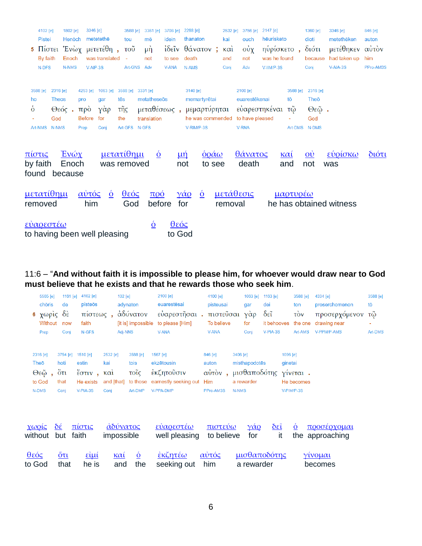|                | 4102 [e]          |              | $1802$ [e] | 3346 [e]      |                              |                           | 3588 [e] | 3361 [e]                       | 3708 [e] 2288 [e] |                   |                                | 2532 [e] | 3756 [e] 2147 [e] |              |                 | 1360 [e]                                     | 3346 [e]                | 846 [e]       |
|----------------|-------------------|--------------|------------|---------------|------------------------------|---------------------------|----------|--------------------------------|-------------------|-------------------|--------------------------------|----------|-------------------|--------------|-----------------|----------------------------------------------|-------------------------|---------------|
|                | Pistei            |              | Henōch     |               | metetethe                    | tou                       |          | mē                             | idein             |                   | thanaton                       | kai      | ouch              | hēurisketo   |                 | dioti                                        | metethēken              | auton         |
| $5^{\circ}$    |                   |              |            |               | Πίστει Ένὼχ μετετέθη,        | $\overline{\mathrm{TOU}}$ |          | μή                             |                   |                   | ίδεῖν θάνατον; καὶ             |          | $oν$ χ            | ηυρίσκετο,   |                 | διότι                                        | μετέθηκεν αυτόν         |               |
|                | By faith          |              | Enoch      |               | was translated               | $\bar{\phantom{a}}$       |          | not                            | to see            |                   | death                          | and      | not               | was he found |                 | because                                      | had taken up            | him           |
|                | N-DFS             |              | N-NMS      | $V-AIP-3S$    |                              |                           | Art-GNS  | Adv                            | V-ANA             |                   | N-AMS                          | Conj     | Adv               | V-IIM/P-3S   |                 | Conj                                         | $V-AIA-3S$              | PPro-AM3S     |
|                |                   |              |            |               |                              |                           |          |                                |                   |                   |                                |          |                   |              |                 |                                              |                         |               |
|                | 3588 [e]          | 2316 [e]     |            | 4253 [e]      | 1063 [e]                     | 3588 [e]                  |          | 3331 [e]                       |                   |                   | 3140 [e]                       |          | 2100 [e]          |              | 3588 [e]        | 2316 [e]                                     |                         |               |
| ho             |                   | <b>Theos</b> |            | pro           | gar                          | tēs                       |          | metatheseōs                    |                   |                   | memartyrētai                   |          | euarestēkenai     |              | tō              | Theō                                         |                         |               |
| $\dot{\delta}$ |                   | $θ$ εός.     |            | $\pi \rho$ o  | $\gamma \dot{\alpha} \rho$   | τῆς                       |          |                                |                   |                   | μεταθέσεως, μεμαρτύρηται       |          | εύαρεστηκέναι τῷ  |              |                 | $Θ$ εῷ.                                      |                         |               |
|                |                   | God          |            | <b>Before</b> | for                          | the                       |          | translation                    |                   |                   | he was commended               |          | to have pleased   |              |                 | God                                          |                         |               |
|                | Art-NMS           | <b>N-NMS</b> |            | Prep          | Conj                         | Art-GFS N-GFS             |          |                                |                   |                   | V-RIM/P-3S                     |          | <b>V-RNA</b>      |              |                 | Art-DMS N-DMS                                |                         |               |
|                |                   |              |            |               |                              |                           |          |                                |                   |                   |                                |          |                   |              |                 |                                              |                         |               |
|                |                   |              |            |               |                              |                           |          |                                |                   |                   |                                |          |                   |              |                 |                                              |                         |               |
| πίστις         |                   |              | $E$ νώχ    |               | <u>μετατίθημι</u>            |                           |          | $\underline{\dot{\mathbf{0}}}$ |                   | $\mu \eta$        | $\dot{\Omega}$ $\alpha \omega$ |          | θάνατος           |              | $k\alpha i$     | $\overline{\mathbf{0}}\overline{\mathbf{0}}$ | εύρίσκω                 | $\delta$ ιότι |
|                | by faith          |              | Enoch      |               | was removed                  |                           |          |                                |                   | not               | to see                         |          | death             |              | and             | not                                          | was                     |               |
|                | found because     |              |            |               |                              |                           |          |                                |                   |                   |                                |          |                   |              |                 |                                              |                         |               |
|                |                   |              |            |               |                              |                           |          |                                |                   |                   |                                |          |                   |              |                 |                                              |                         |               |
|                | <u>μετατίθημι</u> |              |            | <u>αὐτός</u>  | $\dot{\mathbf{Q}}$           |                           | $θ$ εός  | $\pi$ oó                       |                   | $\gamma \alpha_0$ | $\dot{\mathbf{Q}}$             |          | <u>μετάθεσις</u>  |              | <u>μαρτυρέω</u> |                                              |                         |               |
|                | removed           |              |            | him           |                              |                           | God      | before                         |                   | for               |                                | removal  |                   |              |                 |                                              | he has obtained witness |               |
|                |                   |              |            |               |                              |                           |          |                                |                   |                   |                                |          |                   |              |                 |                                              |                         |               |
|                | εύαρεστέω         |              |            |               |                              |                           |          | $\underline{\dot{\mathbf{0}}}$ | <u>θεός</u>       |                   |                                |          |                   |              |                 |                                              |                         |               |
|                |                   |              |            |               | to having been well pleasing |                           |          |                                | to God            |                   |                                |          |                   |              |                 |                                              |                         |               |

## 11:6 – "**And without faith it is impossible to please him, for whoever would draw near to God must believe that he exists and that he rewards those who seek him**.

|                                                              | 5565 [e]<br>chōris<br><b>6</b> χωρίς δέ<br>Without<br>Prep | 1161 $[e]$<br>de<br>now<br>Conj                | 4102 [e]<br>pisteos<br>πίστεως,<br>faith<br>N-GFS                      | 102 [e]<br>Adj-NNS                                         | adynaton<br>αδύνατον<br>[it is] impossible      | 2100 [e]<br>euarestēsai<br>εύαρεστῆσαι.<br>to please [Him]<br><b>V-ANA</b> | 4100 [e]<br>pisteusai<br>πιστεὖσαι<br>To believe<br><b>V-ANA</b> | gar<br>γάρ<br>for<br>Conj                                        | 1063 [e] 1163 [e]<br>dei<br>$\delta \tilde{\epsilon}$<br>it behooves<br>V-PIA-3S | 3588 [e]<br>ton<br>$\vec{cov}$<br>the one<br>Art-AMS | 4334 [e]<br>proserchomenon<br>προσερχόμενον<br>drawing near<br>V-PPM/P-AMS | 3588 [e]<br>tō<br>τῷ<br>Art-DMS |
|--------------------------------------------------------------|------------------------------------------------------------|------------------------------------------------|------------------------------------------------------------------------|------------------------------------------------------------|-------------------------------------------------|----------------------------------------------------------------------------|------------------------------------------------------------------|------------------------------------------------------------------|----------------------------------------------------------------------------------|------------------------------------------------------|----------------------------------------------------------------------------|---------------------------------|
|                                                              | 2316 [e]<br>Theo<br>Θεῷ<br>to God<br>N-DMS                 | 3754 [e]<br>hoti<br>$0$ $\tau$<br>that<br>Conj | 1510 [e]<br>estin<br>$\check{\epsilon}$ στιν,<br>He exists<br>V-PIA-3S | 2532 [e]<br>kai<br>$\kappa$ $\alpha$<br>and [that]<br>Conj | 3588 [e]<br>tois<br>τοΐς<br>to those<br>Art-DMP | 1567 [e]<br>ekzētousin<br>έκζητοῦσιν<br>earnestly seeking out<br>V-PPA-DMP | 846 [e]<br>auton<br>αὐτὸν,<br>Him<br>PPro-AM3S                   | 3406 [e]<br>misthapodotēs<br>μισθαποδότης<br>a rewarder<br>N-NMS | 1096 [e]<br>ginetai                                                              | γίνεται.<br>He becomes<br>V-PIM/P-3S                 |                                                                            |                                 |
|                                                              | $\chi \omega$ ρίς<br>without                               | $\delta \hat{\epsilon}$<br>but                 | πίστις<br>faith                                                        | αδύνατος<br>impossible                                     |                                                 | εύαρεστέω<br>well pleasing                                                 | πιστεύω<br>to believe                                            | $\gamma \alpha_0$<br>for                                         | $\delta \tilde{\epsilon}$<br>it                                                  | $\underline{\dot{\Omega}}$                           | <u>προσέρχομαι</u><br>the approaching                                      |                                 |
| $\frac{\theta \varepsilon \phi \varsigma}{\sigma}$<br>to God |                                                            | $\frac{6\pi}{}$<br>that                        | $\frac{\mathbf{g}^2}{\mathbf{g}}$<br>he is                             | <u>καί</u><br>and                                          | $\underline{\acute{o}}$<br>the                  | <u>έκζητέω</u><br>seeking out                                              | <u>αὐτός</u><br>him                                              | a rewarder                                                       | μισθαποδότης                                                                     |                                                      | γίνομαι<br>becomes                                                         |                                 |